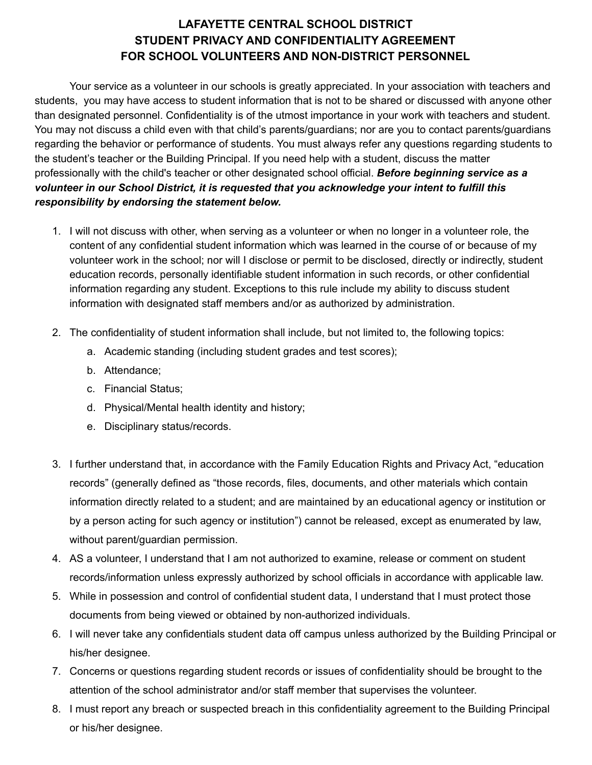# **LAFAYETTE CENTRAL SCHOOL DISTRICT STUDENT PRIVACY AND CONFIDENTIALITY AGREEMENT FOR SCHOOL VOLUNTEERS AND NON-DISTRICT PERSONNEL**

Your service as a volunteer in our schools is greatly appreciated. In your association with teachers and students, you may have access to student information that is not to be shared or discussed with anyone other than designated personnel. Confidentiality is of the utmost importance in your work with teachers and student. You may not discuss a child even with that child's parents/guardians; nor are you to contact parents/guardians regarding the behavior or performance of students. You must always refer any questions regarding students to the student's teacher or the Building Principal. If you need help with a student, discuss the matter professionally with the child's teacher or other designated school official. *Before beginning service as a volunteer in our School District, it is requested that you acknowledge your intent to fulfill this responsibility by endorsing the statement below.*

- 1. I will not discuss with other, when serving as a volunteer or when no longer in a volunteer role, the content of any confidential student information which was learned in the course of or because of my volunteer work in the school; nor will I disclose or permit to be disclosed, directly or indirectly, student education records, personally identifiable student information in such records, or other confidential information regarding any student. Exceptions to this rule include my ability to discuss student information with designated staff members and/or as authorized by administration.
- 2. The confidentiality of student information shall include, but not limited to, the following topics:
	- a. Academic standing (including student grades and test scores);
	- b. Attendance;
	- c. Financial Status;
	- d. Physical/Mental health identity and history;
	- e. Disciplinary status/records.
- 3. I further understand that, in accordance with the Family Education Rights and Privacy Act, "education records" (generally defined as "those records, files, documents, and other materials which contain information directly related to a student; and are maintained by an educational agency or institution or by a person acting for such agency or institution") cannot be released, except as enumerated by law, without parent/guardian permission.
- 4. AS a volunteer, I understand that I am not authorized to examine, release or comment on student records/information unless expressly authorized by school officials in accordance with applicable law.
- 5. While in possession and control of confidential student data, I understand that I must protect those documents from being viewed or obtained by non-authorized individuals.
- 6. I will never take any confidentials student data off campus unless authorized by the Building Principal or his/her designee.
- 7. Concerns or questions regarding student records or issues of confidentiality should be brought to the attention of the school administrator and/or staff member that supervises the volunteer.
- 8. I must report any breach or suspected breach in this confidentiality agreement to the Building Principal or his/her designee.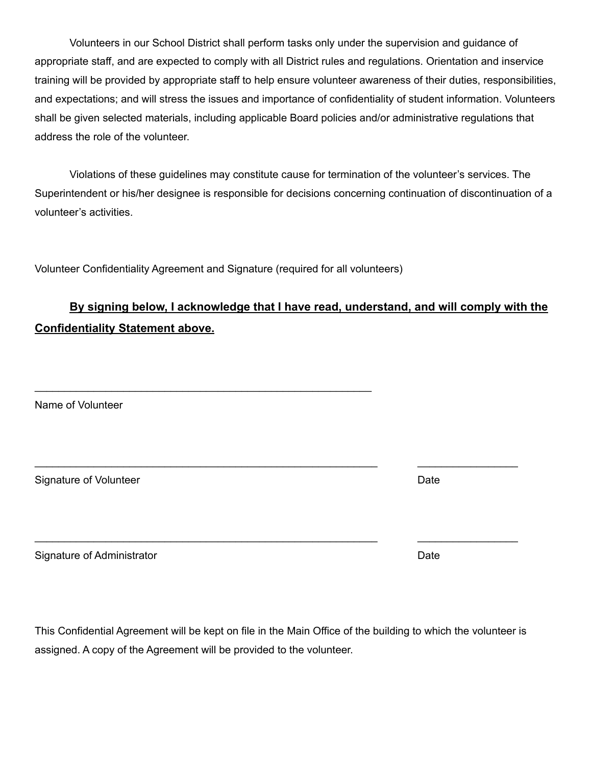Volunteers in our School District shall perform tasks only under the supervision and guidance of appropriate staff, and are expected to comply with all District rules and regulations. Orientation and inservice training will be provided by appropriate staff to help ensure volunteer awareness of their duties, responsibilities, and expectations; and will stress the issues and importance of confidentiality of student information. Volunteers shall be given selected materials, including applicable Board policies and/or administrative regulations that address the role of the volunteer.

Violations of these guidelines may constitute cause for termination of the volunteer's services. The Superintendent or his/her designee is responsible for decisions concerning continuation of discontinuation of a volunteer's activities.

Volunteer Confidentiality Agreement and Signature (required for all volunteers)

\_\_\_\_\_\_\_\_\_\_\_\_\_\_\_\_\_\_\_\_\_\_\_\_\_\_\_\_\_\_\_\_\_\_\_\_\_\_\_\_\_\_\_\_\_\_\_\_\_\_\_\_\_\_\_\_\_

# **By signing below, I acknowledge that I have read, understand, and will comply with the Confidentiality Statement above.**

Name of Volunteer

Signature of Volunteer and Communication of Communication of Communication of Communication of Communication of Communication of Communication of Communication of Communication of Communication of Communication of Communic

Signature of Administrator **Date** Date of Administrator **Date** 

This Confidential Agreement will be kept on file in the Main Office of the building to which the volunteer is assigned. A copy of the Agreement will be provided to the volunteer.

\_\_\_\_\_\_\_\_\_\_\_\_\_\_\_\_\_\_\_\_\_\_\_\_\_\_\_\_\_\_\_\_\_\_\_\_\_\_\_\_\_\_\_\_\_\_\_\_\_\_\_\_\_\_\_\_\_\_ \_\_\_\_\_\_\_\_\_\_\_\_\_\_\_\_\_

\_\_\_\_\_\_\_\_\_\_\_\_\_\_\_\_\_\_\_\_\_\_\_\_\_\_\_\_\_\_\_\_\_\_\_\_\_\_\_\_\_\_\_\_\_\_\_\_\_\_\_\_\_\_\_\_\_\_ \_\_\_\_\_\_\_\_\_\_\_\_\_\_\_\_\_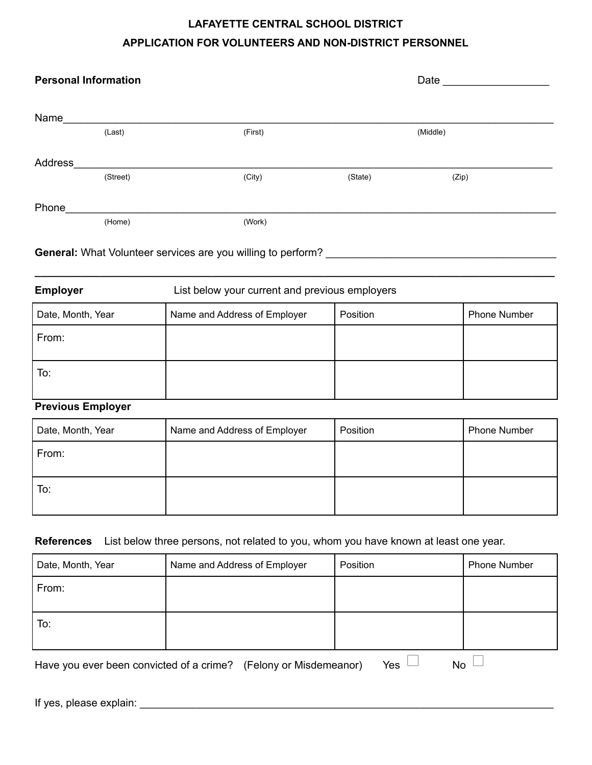# **LAFAYETTE CENTRAL SCHOOL DISTRICT APPLICATION FOR VOLUNTEERS AND NON-DISTRICT PERSONNEL**

| <b>Personal Information</b> |          |         |          | Date  |  |  |  |
|-----------------------------|----------|---------|----------|-------|--|--|--|
| Name                        |          |         |          |       |  |  |  |
|                             | (Last)   | (First) | (Middle) |       |  |  |  |
| Address                     |          |         |          |       |  |  |  |
|                             | (Street) | (City)  | (State)  | (Zip) |  |  |  |
| Phone                       |          |         |          |       |  |  |  |
|                             | (Home)   | (Work)  |          |       |  |  |  |
|                             |          |         |          |       |  |  |  |

## **General:** What Volunteer services are you willing to perform?

# **Employer Employer** List below your current and previous employers Date, Month, Year **Name and Address of Employer** Position **Phone Number** Phone Number From: To:

**\_\_\_\_\_\_\_\_\_\_\_\_\_\_\_\_\_\_\_\_\_\_\_\_\_\_\_\_\_\_\_\_\_\_\_\_\_\_\_\_\_\_\_\_\_\_\_\_\_\_\_\_\_\_\_\_\_\_\_\_\_\_\_\_\_\_\_\_\_\_\_\_\_\_\_\_\_\_\_\_\_\_\_\_\_\_\_\_**

#### **Previous Employer**

| Date, Month, Year | Name and Address of Employer | Position | <b>Phone Number</b> |
|-------------------|------------------------------|----------|---------------------|
| From:             |                              |          |                     |
| To:               |                              |          |                     |

### **References** List below three persons, not related to you, whom you have known at least one year.

| Date, Month, Year | Name and Address of Employer | Position | <b>Phone Number</b> |
|-------------------|------------------------------|----------|---------------------|
| From:             |                              |          |                     |
|                   |                              |          |                     |
| To:               |                              |          |                     |
|                   |                              |          |                     |
|                   |                              |          |                     |

Have you ever been convicted of a crime? (Felony or Misdemeanor) Yes  $\Box$  No  $\Box$ 

If yes, please explain: \_\_\_\_\_\_\_\_\_\_\_\_\_\_\_\_\_\_\_\_\_\_\_\_\_\_\_\_\_\_\_\_\_\_\_\_\_\_\_\_\_\_\_\_\_\_\_\_\_\_\_\_\_\_\_\_\_\_\_\_\_\_\_\_\_\_\_\_\_\_